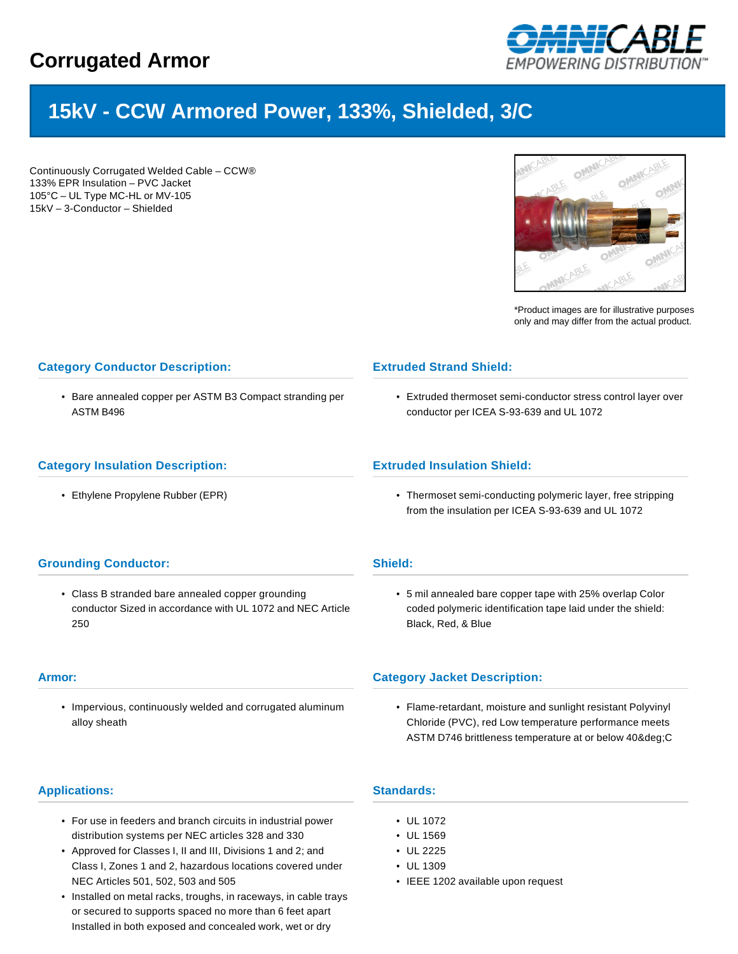## **Corrugated Armor**



# **15kV - CCW Armored Power, 133%, Shielded, 3/C**

Continuously Corrugated Welded Cable – CCW® 133% EPR Insulation – PVC Jacket 105°C – UL Type MC-HL or MV-105 15kV – 3-Conductor – Shielded



\*Product images are for illustrative purposes only and may differ from the actual product.

## **Category Conductor Description:**

• Bare annealed copper per ASTM B3 Compact stranding per ASTM B496

### **Extruded Strand Shield:**

• Extruded thermoset semi-conductor stress control layer over conductor per ICEA S-93-639 and UL 1072

#### **Category Insulation Description:**

• Ethylene Propylene Rubber (EPR)

#### **Extruded Insulation Shield:**

• Thermoset semi-conducting polymeric layer, free stripping from the insulation per ICEA S-93-639 and UL 1072

#### **Grounding Conductor:**

• Class B stranded bare annealed copper grounding conductor Sized in accordance with UL 1072 and NEC Article 250

#### **Armor:**

• Impervious, continuously welded and corrugated aluminum alloy sheath

## • 5 mil annealed bare copper tape with 25% overlap Color coded polymeric identification tape laid under the shield: Black, Red, & Blue

#### **Category Jacket Description:**

• Flame-retardant, moisture and sunlight resistant Polyvinyl Chloride (PVC), red Low temperature performance meets ASTM D746 brittleness temperature at or below 40&deq;C

#### **Applications:**

- For use in feeders and branch circuits in industrial power distribution systems per NEC articles 328 and 330
- Approved for Classes I, II and III, Divisions 1 and 2; and Class I, Zones 1 and 2, hazardous locations covered under NEC Articles 501, 502, 503 and 505
- Installed on metal racks, troughs, in raceways, in cable trays or secured to supports spaced no more than 6 feet apart Installed in both exposed and concealed work, wet or dry

## **Standards:**

**Shield:**

- UL 1072
- UL 1569
- UL 2225
- UL 1309
- IEEE 1202 available upon request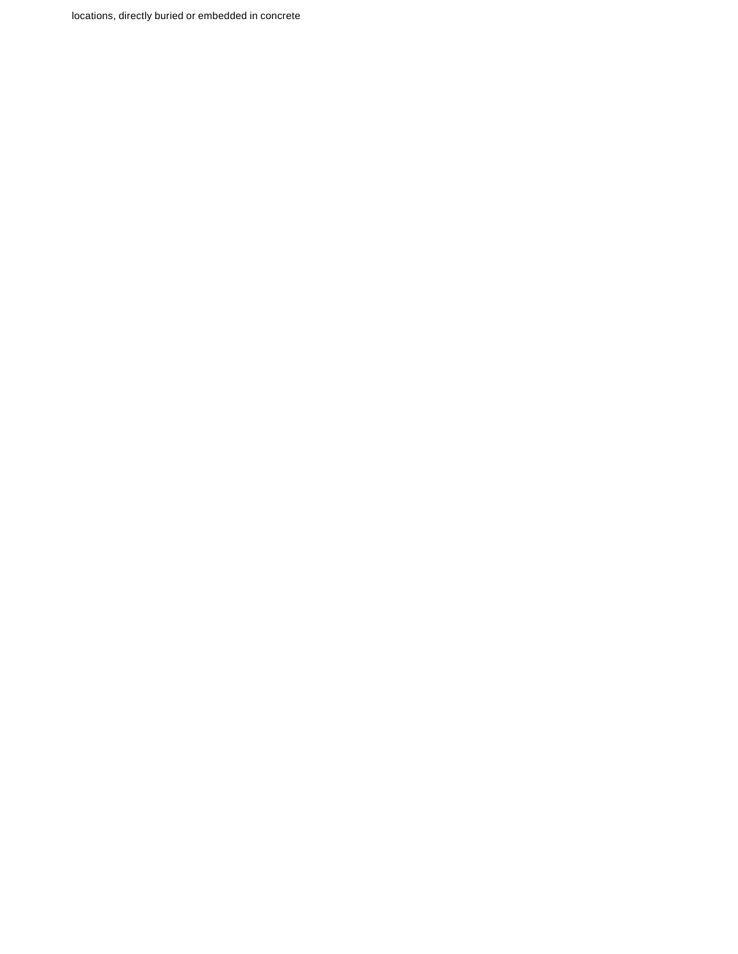locations, directly buried or embedded in concrete